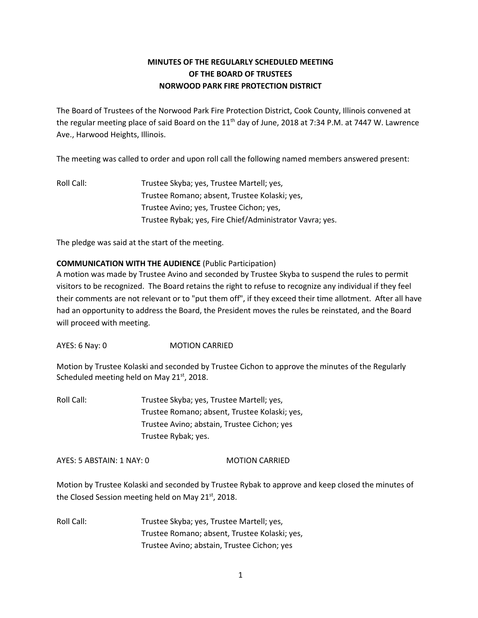# **MINUTES OF THE REGULARLY SCHEDULED MEETING OF THE BOARD OF TRUSTEES NORWOOD PARK FIRE PROTECTION DISTRICT**

The Board of Trustees of the Norwood Park Fire Protection District, Cook County, Illinois convened at the regular meeting place of said Board on the 11<sup>th</sup> day of June, 2018 at 7:34 P.M. at 7447 W. Lawrence Ave., Harwood Heights, Illinois.

The meeting was called to order and upon roll call the following named members answered present:

Roll Call: Trustee Skyba; yes, Trustee Martell; yes, Trustee Romano; absent, Trustee Kolaski; yes, Trustee Avino; yes, Trustee Cichon; yes, Trustee Rybak; yes, Fire Chief/Administrator Vavra; yes.

The pledge was said at the start of the meeting.

## **COMMUNICATION WITH THE AUDIENCE** (Public Participation)

A motion was made by Trustee Avino and seconded by Trustee Skyba to suspend the rules to permit visitors to be recognized. The Board retains the right to refuse to recognize any individual if they feel their comments are not relevant or to "put them off", if they exceed their time allotment. After all have had an opportunity to address the Board, the President moves the rules be reinstated, and the Board will proceed with meeting.

AYES: 6 Nay: 0 MOTION CARRIED

Motion by Trustee Kolaski and seconded by Trustee Cichon to approve the minutes of the Regularly Scheduled meeting held on May  $21^{st}$ , 2018.

Roll Call: Trustee Skyba; yes, Trustee Martell; yes, Trustee Romano; absent, Trustee Kolaski; yes, Trustee Avino; abstain, Trustee Cichon; yes Trustee Rybak; yes.

AYES: 5 ABSTAIN: 1 NAY: 0 MOTION CARRIED

Motion by Trustee Kolaski and seconded by Trustee Rybak to approve and keep closed the minutes of the Closed Session meeting held on May  $21^{st}$ , 2018.

Roll Call: Trustee Skyba; yes, Trustee Martell; yes, Trustee Romano; absent, Trustee Kolaski; yes, Trustee Avino; abstain, Trustee Cichon; yes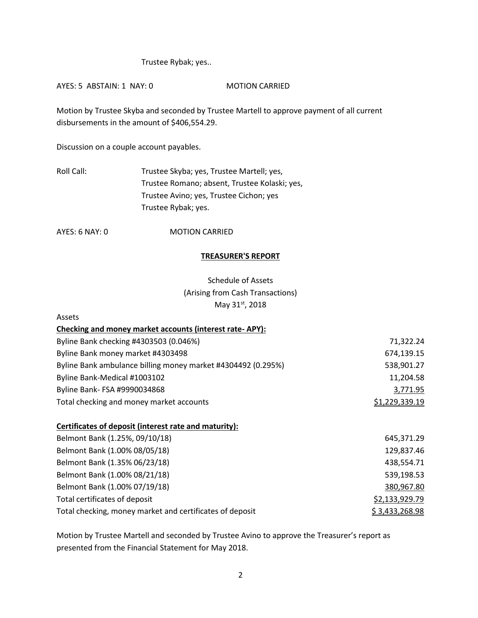## Trustee Rybak; yes..

AYES: 5 ABSTAIN: 1 NAY: 0 MOTION CARRIED

Motion by Trustee Skyba and seconded by Trustee Martell to approve payment of all current disbursements in the amount of \$406,554.29.

Discussion on a couple account payables.

Roll Call: Trustee Skyba; yes, Trustee Martell; yes, Trustee Romano; absent, Trustee Kolaski; yes, Trustee Avino; yes, Trustee Cichon; yes Trustee Rybak; yes.

AYES: 6 NAY: 0 MOTION CARRIED

## **TREASURER'S REPORT**

Schedule of Assets (Arising from Cash Transactions) May 31st, 2018

| Assets                                                       |                       |
|--------------------------------------------------------------|-----------------------|
| Checking and money market accounts (interest rate-APY):      |                       |
| Byline Bank checking #4303503 (0.046%)                       | 71,322.24             |
| Byline Bank money market #4303498                            | 674,139.15            |
| Byline Bank ambulance billing money market #4304492 (0.295%) | 538,901.27            |
| Byline Bank-Medical #1003102                                 | 11,204.58             |
| Byline Bank-FSA #9990034868                                  | 3,771.95              |
| Total checking and money market accounts                     | <u>\$1,229,339.19</u> |
| Certificates of deposit (interest rate and maturity):        |                       |
| Belmont Bank (1.25%, 09/10/18)                               | 645,371.29            |
| Belmont Bank (1.00% 08/05/18)                                | 129,837.46            |
| Belmont Bank (1.35% 06/23/18)                                | 438,554.71            |
| Belmont Bank (1.00% 08/21/18)                                | 539,198.53            |
| Belmont Bank (1.00% 07/19/18)                                | 380,967.80            |
| Total certificates of deposit                                | \$2,133,929.79        |
| Total checking, money market and certificates of deposit     | \$3,433,268.98        |

Motion by Trustee Martell and seconded by Trustee Avino to approve the Treasurer's report as presented from the Financial Statement for May 2018.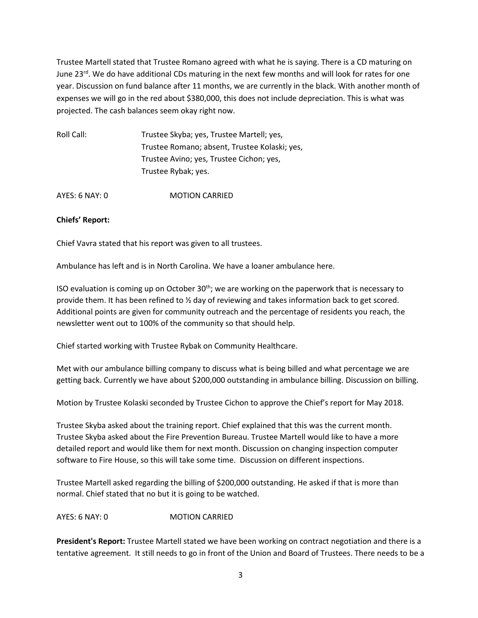Trustee Martell stated that Trustee Romano agreed with what he is saying. There is a CD maturing on June 23 $^{rd}$ . We do have additional CDs maturing in the next few months and will look for rates for one year. Discussion on fund balance after 11 months, we are currently in the black. With another month of expenses we will go in the red about \$380,000, this does not include depreciation. This is what was projected. The cash balances seem okay right now.

| Trustee Skyba; yes, Trustee Martell; yes,     |
|-----------------------------------------------|
| Trustee Romano; absent, Trustee Kolaski; yes, |
| Trustee Avino; yes, Trustee Cichon; yes,      |
| Trustee Rybak; yes.                           |
|                                               |

AYES: 6 NAY: 0 MOTION CARRIED

#### **Chiefs' Report:**

Chief Vavra stated that his report was given to all trustees.

Ambulance has left and is in North Carolina. We have a loaner ambulance here.

ISO evaluation is coming up on October  $30<sup>th</sup>$ ; we are working on the paperwork that is necessary to provide them. It has been refined to ½ day of reviewing and takes information back to get scored. Additional points are given for community outreach and the percentage of residents you reach, the newsletter went out to 100% of the community so that should help.

Chief started working with Trustee Rybak on Community Healthcare.

Met with our ambulance billing company to discuss what is being billed and what percentage we are getting back. Currently we have about \$200,000 outstanding in ambulance billing. Discussion on billing.

Motion by Trustee Kolaski seconded by Trustee Cichon to approve the Chief's report for May 2018.

Trustee Skyba asked about the training report. Chief explained that this was the current month. Trustee Skyba asked about the Fire Prevention Bureau. Trustee Martell would like to have a more detailed report and would like them for next month. Discussion on changing inspection computer software to Fire House, so this will take some time. Discussion on different inspections.

Trustee Martell asked regarding the billing of \$200,000 outstanding. He asked if that is more than normal. Chief stated that no but it is going to be watched.

AYES: 6 NAY: 0 MOTION CARRIED

**President's Report:** Trustee Martell stated we have been working on contract negotiation and there is a tentative agreement. It still needs to go in front of the Union and Board of Trustees. There needs to be a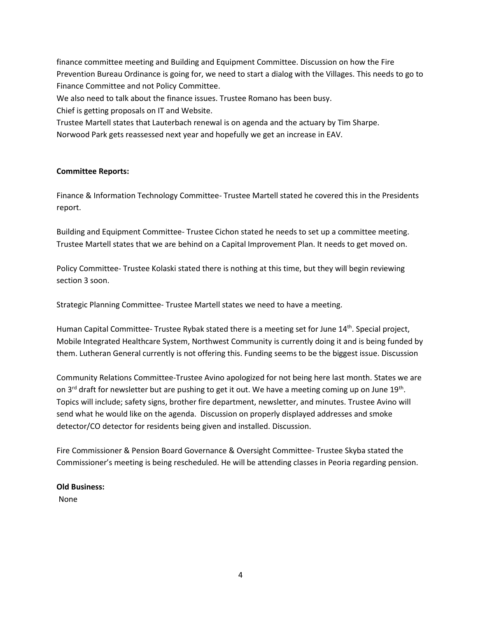finance committee meeting and Building and Equipment Committee. Discussion on how the Fire Prevention Bureau Ordinance is going for, we need to start a dialog with the Villages. This needs to go to Finance Committee and not Policy Committee.

We also need to talk about the finance issues. Trustee Romano has been busy.

Chief is getting proposals on IT and Website.

Trustee Martell states that Lauterbach renewal is on agenda and the actuary by Tim Sharpe. Norwood Park gets reassessed next year and hopefully we get an increase in EAV.

## **Committee Reports:**

Finance & Information Technology Committee- Trustee Martell stated he covered this in the Presidents report.

Building and Equipment Committee- Trustee Cichon stated he needs to set up a committee meeting. Trustee Martell states that we are behind on a Capital Improvement Plan. It needs to get moved on.

Policy Committee- Trustee Kolaski stated there is nothing at this time, but they will begin reviewing section 3 soon.

Strategic Planning Committee- Trustee Martell states we need to have a meeting.

Human Capital Committee- Trustee Rybak stated there is a meeting set for June 14<sup>th</sup>. Special project, Mobile Integrated Healthcare System, Northwest Community is currently doing it and is being funded by them. Lutheran General currently is not offering this. Funding seems to be the biggest issue. Discussion

Community Relations Committee-Trustee Avino apologized for not being here last month. States we are on 3<sup>rd</sup> draft for newsletter but are pushing to get it out. We have a meeting coming up on June 19<sup>th</sup>. Topics will include; safety signs, brother fire department, newsletter, and minutes. Trustee Avino will send what he would like on the agenda. Discussion on properly displayed addresses and smoke detector/CO detector for residents being given and installed. Discussion.

Fire Commissioner & Pension Board Governance & Oversight Committee- Trustee Skyba stated the Commissioner's meeting is being rescheduled. He will be attending classes in Peoria regarding pension.

# **Old Business:**

None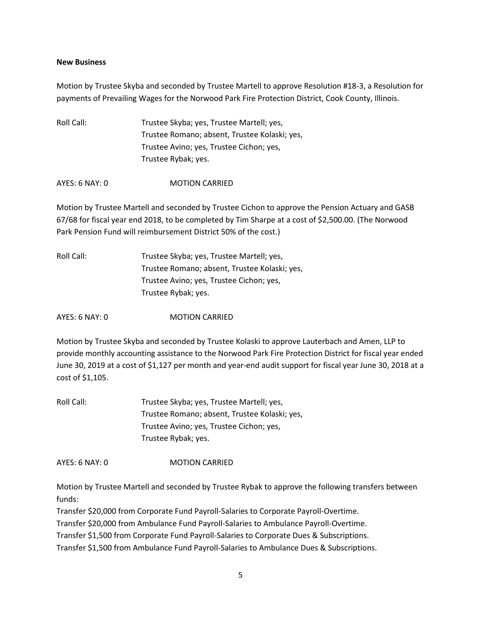#### **New Business**

Motion by Trustee Skyba and seconded by Trustee Martell to approve Resolution #18-3, a Resolution for payments of Prevailing Wages for the Norwood Park Fire Protection District, Cook County, Illinois.

Roll Call: Trustee Skyba; yes, Trustee Martell; yes, Trustee Romano; absent, Trustee Kolaski; yes, Trustee Avino; yes, Trustee Cichon; yes, Trustee Rybak; yes.

AYES: 6 NAY: 0 MOTION CARRIED

Motion by Trustee Martell and seconded by Trustee Cichon to approve the Pension Actuary and GASB 67/68 for fiscal year end 2018, to be completed by Tim Sharpe at a cost of \$2,500.00. (The Norwood Park Pension Fund will reimbursement District 50% of the cost.)

| Roll Call: | Trustee Skyba; yes, Trustee Martell; yes,     |
|------------|-----------------------------------------------|
|            | Trustee Romano; absent, Trustee Kolaski; yes, |
|            | Trustee Avino; yes, Trustee Cichon; yes,      |
|            | Trustee Rybak; yes.                           |

AYES: 6 NAY: 0 MOTION CARRIED

Motion by Trustee Skyba and seconded by Trustee Kolaski to approve Lauterbach and Amen, LLP to provide monthly accounting assistance to the Norwood Park Fire Protection District for fiscal year ended June 30, 2019 at a cost of \$1,127 per month and year-end audit support for fiscal year June 30, 2018 at a cost of \$1,105.

Roll Call: Trustee Skyba; yes, Trustee Martell; yes, Trustee Romano; absent, Trustee Kolaski; yes, Trustee Avino; yes, Trustee Cichon; yes, Trustee Rybak; yes.

AYES: 6 NAY: 0 MOTION CARRIED

Motion by Trustee Martell and seconded by Trustee Rybak to approve the following transfers between funds:

Transfer \$20,000 from Corporate Fund Payroll-Salaries to Corporate Payroll-Overtime.

Transfer \$20,000 from Ambulance Fund Payroll-Salaries to Ambulance Payroll-Overtime.

Transfer \$1,500 from Corporate Fund Payroll-Salaries to Corporate Dues & Subscriptions.

Transfer \$1,500 from Ambulance Fund Payroll-Salaries to Ambulance Dues & Subscriptions.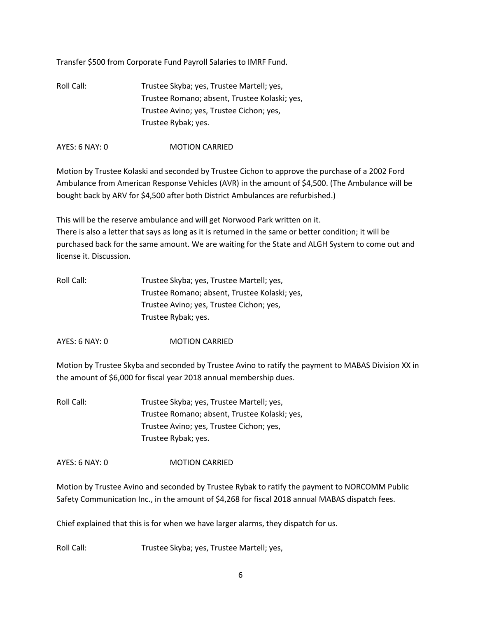Transfer \$500 from Corporate Fund Payroll Salaries to IMRF Fund.

Roll Call: Trustee Skyba; yes, Trustee Martell; yes, Trustee Romano; absent, Trustee Kolaski; yes, Trustee Avino; yes, Trustee Cichon; yes, Trustee Rybak; yes.

AYES: 6 NAY: 0 MOTION CARRIED

Motion by Trustee Kolaski and seconded by Trustee Cichon to approve the purchase of a 2002 Ford Ambulance from American Response Vehicles (AVR) in the amount of \$4,500. (The Ambulance will be bought back by ARV for \$4,500 after both District Ambulances are refurbished.)

This will be the reserve ambulance and will get Norwood Park written on it. There is also a letter that says as long as it is returned in the same or better condition; it will be purchased back for the same amount. We are waiting for the State and ALGH System to come out and license it. Discussion.

| Roll Call: | Trustee Skyba; yes, Trustee Martell; yes,     |
|------------|-----------------------------------------------|
|            | Trustee Romano; absent, Trustee Kolaski; yes, |
|            | Trustee Avino; yes, Trustee Cichon; yes,      |
|            | Trustee Rybak; yes.                           |

AYES: 6 NAY: 0 MOTION CARRIED

Motion by Trustee Skyba and seconded by Trustee Avino to ratify the payment to MABAS Division XX in the amount of \$6,000 for fiscal year 2018 annual membership dues.

Roll Call: Trustee Skyba; yes, Trustee Martell; yes, Trustee Romano; absent, Trustee Kolaski; yes, Trustee Avino; yes, Trustee Cichon; yes, Trustee Rybak; yes.

AYES: 6 NAY: 0 MOTION CARRIED

Motion by Trustee Avino and seconded by Trustee Rybak to ratify the payment to NORCOMM Public Safety Communication Inc., in the amount of \$4,268 for fiscal 2018 annual MABAS dispatch fees.

Chief explained that this is for when we have larger alarms, they dispatch for us.

Roll Call: Trustee Skyba; yes, Trustee Martell; yes,